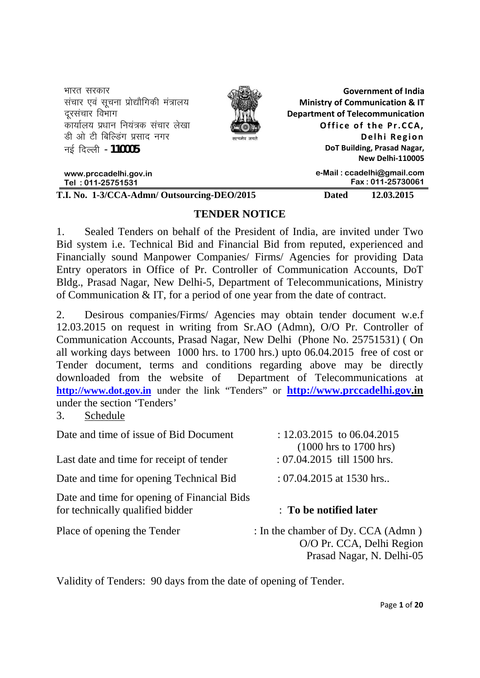| भारत सरकार<br>संचार एवं सूचना प्रोद्यौगिकी मंत्रालय<br>दरसंचार विभाग<br>कार्यालय प्रधान नियंत्रक संचार लेखा<br>डी ओ टी बिल्डिंग प्रसाद नगर<br>नई दिल्ली - <b>110005</b> | <b>Department of Telecommunication</b> | <b>Government of India</b><br><b>Ministry of Communication &amp; IT</b><br>Office of the Pr.CCA,<br>Delhi Region<br>DoT Building, Prasad Nagar, |
|-------------------------------------------------------------------------------------------------------------------------------------------------------------------------|----------------------------------------|-------------------------------------------------------------------------------------------------------------------------------------------------|
|                                                                                                                                                                         |                                        | New Delhi-110005                                                                                                                                |
| www.prccadelhi.gov.in<br>Tel: 011-25751531                                                                                                                              |                                        | e-Mail: ccadelhi@gmail.com<br>Fax: 011-25730061                                                                                                 |
| T.I. No. 1-3/CCA-Admn/ Outsourcing-DEO/2015                                                                                                                             | Dated                                  | 12.03.2015                                                                                                                                      |

### **TENDER NOTICE**

1. Sealed Tenders on behalf of the President of India, are invited under Two Bid system i.e. Technical Bid and Financial Bid from reputed, experienced and Financially sound Manpower Companies/ Firms/ Agencies for providing Data Entry operators in Office of Pr. Controller of Communication Accounts, DoT Bldg., Prasad Nagar, New Delhi-5, Department of Telecommunications, Ministry of Communication & IT, for a period of one year from the date of contract.

2. Desirous companies/Firms/ Agencies may obtain tender document w.e.f 12.03.2015 on request in writing from Sr.AO (Admn), O/O Pr. Controller of Communication Accounts, Prasad Nagar, New Delhi (Phone No. 25751531) ( On all working days between 1000 hrs. to 1700 hrs.) upto 06.04.2015 free of cost or Tender document, terms and conditions regarding above may be directly downloaded from the website of Department of Telecommunications at **http://www.dot.gov.in** under the link "Tenders" or **http://www.prccadelhi.gov.in** under the section 'Tenders'

3. Schedule

| Date and time of issue of Bid Document                                          | : $12.03.2015$ to $06.04.2015$<br>$(1000 \text{ hrs to } 1700 \text{ hrs})$                  |
|---------------------------------------------------------------------------------|----------------------------------------------------------------------------------------------|
| Last date and time for receipt of tender                                        | : 07.04.2015 till 1500 hrs.                                                                  |
| Date and time for opening Technical Bid                                         | : $07.04.2015$ at 1530 hrs                                                                   |
| Date and time for opening of Financial Bids<br>for technically qualified bidder | : To be notified later                                                                       |
| Place of opening the Tender                                                     | : In the chamber of Dy. CCA (Admn)<br>O/O Pr. CCA, Delhi Region<br>Prasad Nagar, N. Delhi-05 |

Validity of Tenders: 90 days from the date of opening of Tender.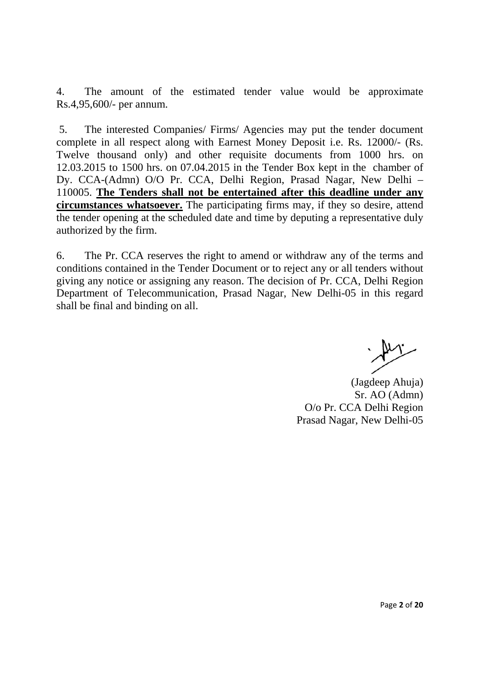4. The amount of the estimated tender value would be approximate Rs.4,95,600/- per annum.

 5. The interested Companies/ Firms/ Agencies may put the tender document complete in all respect along with Earnest Money Deposit i.e. Rs. 12000/- (Rs. Twelve thousand only) and other requisite documents from 1000 hrs. on 12.03.2015 to 1500 hrs. on 07.04.2015 in the Tender Box kept in the chamber of Dy. CCA-(Admn) O/O Pr. CCA, Delhi Region, Prasad Nagar, New Delhi – 110005. **The Tenders shall not be entertained after this deadline under any circumstances whatsoever.** The participating firms may, if they so desire, attend the tender opening at the scheduled date and time by deputing a representative duly authorized by the firm.

6. The Pr. CCA reserves the right to amend or withdraw any of the terms and conditions contained in the Tender Document or to reject any or all tenders without giving any notice or assigning any reason. The decision of Pr. CCA, Delhi Region Department of Telecommunication, Prasad Nagar, New Delhi-05 in this regard shall be final and binding on all.

(Jagdeep Ahuja) Sr. AO (Admn) O/o Pr. CCA Delhi Region Prasad Nagar, New Delhi-05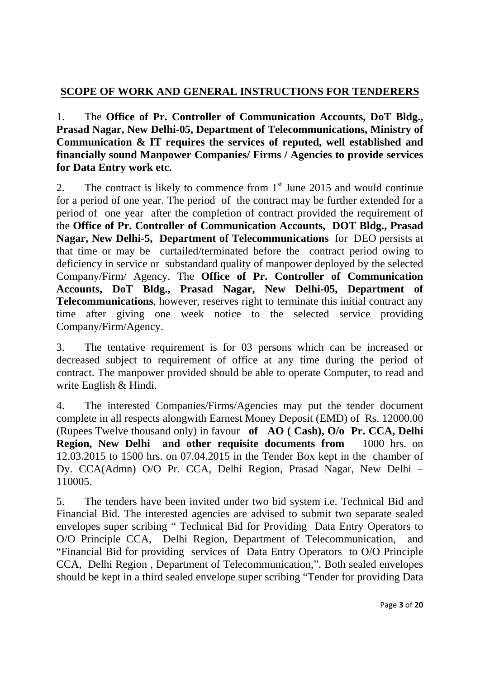# **SCOPE OF WORK AND GENERAL INSTRUCTIONS FOR TENDERERS**

1. The **Office of Pr. Controller of Communication Accounts, DoT Bldg., Prasad Nagar, New Delhi-05, Department of Telecommunications, Ministry of Communication & IT requires the services of reputed, well established and financially sound Manpower Companies/ Firms / Agencies to provide services for Data Entry work etc.** 

2. The contract is likely to commence from  $1<sup>st</sup>$  June 2015 and would continue for a period of one year. The period of the contract may be further extended for a period of one year after the completion of contract provided the requirement of the **Office of Pr. Controller of Communication Accounts, DOT Bldg., Prasad Nagar, New Delhi-5, Department of Telecommunications** for DEO persists at that time or may be curtailed/terminated before the contract period owing to deficiency in service or substandard quality of manpower deployed by the selected Company/Firm/ Agency. The **Office of Pr. Controller of Communication Accounts, DoT Bldg., Prasad Nagar, New Delhi-05, Department of Telecommunications**, however, reserves right to terminate this initial contract any time after giving one week notice to the selected service providing Company/Firm/Agency.

3. The tentative requirement is for 03 persons which can be increased or decreased subject to requirement of office at any time during the period of contract. The manpower provided should be able to operate Computer, to read and write English & Hindi.

4. The interested Companies/Firms/Agencies may put the tender document complete in all respects alongwith Earnest Money Deposit (EMD) of Rs. 12000.00 (Rupees Twelve thousand only) in favour **of AO ( Cash), O/o Pr. CCA, Delhi Region, New Delhi and other requisite documents from** 1000 hrs. on 12.03.2015 to 1500 hrs. on 07.04.2015 in the Tender Box kept in the chamber of Dy. CCA(Admn) O/O Pr. CCA, Delhi Region, Prasad Nagar, New Delhi – 110005.

5. The tenders have been invited under two bid system i.e. Technical Bid and Financial Bid. The interested agencies are advised to submit two separate sealed envelopes super scribing " Technical Bid for Providing Data Entry Operators to O/O Principle CCA, Delhi Region, Department of Telecommunication, and "Financial Bid for providing services of Data Entry Operators to O/O Principle CCA, Delhi Region , Department of Telecommunication,". Both sealed envelopes should be kept in a third sealed envelope super scribing "Tender for providing Data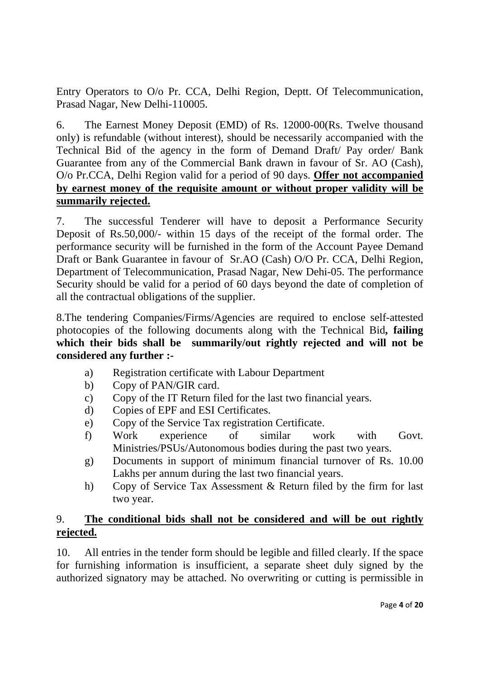Entry Operators to O/o Pr. CCA, Delhi Region, Deptt. Of Telecommunication, Prasad Nagar, New Delhi-110005.

6. The Earnest Money Deposit (EMD) of Rs. 12000-00(Rs. Twelve thousand only) is refundable (without interest), should be necessarily accompanied with the Technical Bid of the agency in the form of Demand Draft/ Pay order/ Bank Guarantee from any of the Commercial Bank drawn in favour of Sr. AO (Cash), O/o Pr.CCA, Delhi Region valid for a period of 90 days. **Offer not accompanied by earnest money of the requisite amount or without proper validity will be summarily rejected.**

7. The successful Tenderer will have to deposit a Performance Security Deposit of Rs.50,000/- within 15 days of the receipt of the formal order. The performance security will be furnished in the form of the Account Payee Demand Draft or Bank Guarantee in favour of Sr.AO (Cash) O/O Pr. CCA, Delhi Region, Department of Telecommunication, Prasad Nagar, New Dehi-05. The performance Security should be valid for a period of 60 days beyond the date of completion of all the contractual obligations of the supplier.

8.The tendering Companies/Firms/Agencies are required to enclose self-attested photocopies of the following documents along with the Technical Bid**, failing which their bids shall be summarily/out rightly rejected and will not be considered any further :-** 

- a) Registration certificate with Labour Department
- b) Copy of PAN/GIR card.
- c) Copy of the IT Return filed for the last two financial years.
- d) Copies of EPF and ESI Certificates.
- e) Copy of the Service Tax registration Certificate.
- f) Work experience of similar work with Govt. Ministries/PSUs/Autonomous bodies during the past two years.
- g) Documents in support of minimum financial turnover of Rs. 10.00 Lakhs per annum during the last two financial years.
- h) Copy of Service Tax Assessment & Return filed by the firm for last two year.

# 9. **The conditional bids shall not be considered and will be out rightly rejected.**

10. All entries in the tender form should be legible and filled clearly. If the space for furnishing information is insufficient, a separate sheet duly signed by the authorized signatory may be attached. No overwriting or cutting is permissible in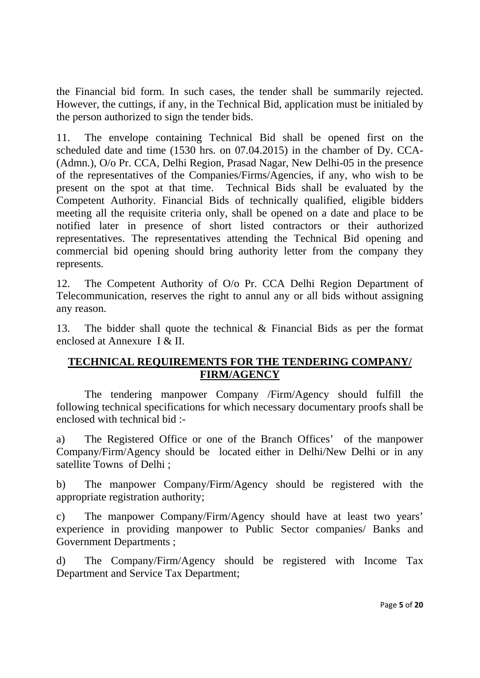the Financial bid form. In such cases, the tender shall be summarily rejected. However, the cuttings, if any, in the Technical Bid, application must be initialed by the person authorized to sign the tender bids.

11. The envelope containing Technical Bid shall be opened first on the scheduled date and time (1530 hrs. on 07.04.2015) in the chamber of Dy. CCA- (Admn.), O/o Pr. CCA, Delhi Region, Prasad Nagar, New Delhi-05 in the presence of the representatives of the Companies/Firms/Agencies, if any, who wish to be present on the spot at that time. Technical Bids shall be evaluated by the Competent Authority. Financial Bids of technically qualified, eligible bidders meeting all the requisite criteria only, shall be opened on a date and place to be notified later in presence of short listed contractors or their authorized representatives. The representatives attending the Technical Bid opening and commercial bid opening should bring authority letter from the company they represents.

12. The Competent Authority of O/o Pr. CCA Delhi Region Department of Telecommunication, reserves the right to annul any or all bids without assigning any reason.

13. The bidder shall quote the technical & Financial Bids as per the format enclosed at Annexure I & II.

# **TECHNICAL REQUIREMENTS FOR THE TENDERING COMPANY/ FIRM/AGENCY**

 The tendering manpower Company /Firm/Agency should fulfill the following technical specifications for which necessary documentary proofs shall be enclosed with technical bid :-

a) The Registered Office or one of the Branch Offices' of the manpower Company/Firm/Agency should be located either in Delhi/New Delhi or in any satellite Towns of Delhi ;

b) The manpower Company/Firm/Agency should be registered with the appropriate registration authority;

c) The manpower Company/Firm/Agency should have at least two years' experience in providing manpower to Public Sector companies/ Banks and Government Departments ;

d) The Company/Firm/Agency should be registered with Income Tax Department and Service Tax Department;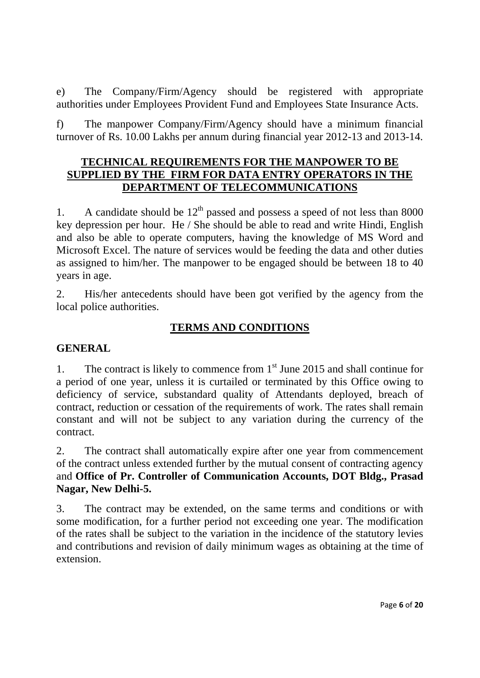e) The Company/Firm/Agency should be registered with appropriate authorities under Employees Provident Fund and Employees State Insurance Acts.

f) The manpower Company/Firm/Agency should have a minimum financial turnover of Rs. 10.00 Lakhs per annum during financial year 2012-13 and 2013-14.

# **TECHNICAL REQUIREMENTS FOR THE MANPOWER TO BE SUPPLIED BY THE FIRM FOR DATA ENTRY OPERATORS IN THE DEPARTMENT OF TELECOMMUNICATIONS**

1. A candidate should be  $12<sup>th</sup>$  passed and possess a speed of not less than 8000 key depression per hour. He / She should be able to read and write Hindi, English and also be able to operate computers, having the knowledge of MS Word and Microsoft Excel. The nature of services would be feeding the data and other duties as assigned to him/her. The manpower to be engaged should be between 18 to 40 years in age.

2. His/her antecedents should have been got verified by the agency from the local police authorities.

# **TERMS AND CONDITIONS**

# **GENERAL**

1. The contract is likely to commence from  $1<sup>st</sup>$  June 2015 and shall continue for a period of one year, unless it is curtailed or terminated by this Office owing to deficiency of service, substandard quality of Attendants deployed, breach of contract, reduction or cessation of the requirements of work. The rates shall remain constant and will not be subject to any variation during the currency of the contract.

2. The contract shall automatically expire after one year from commencement of the contract unless extended further by the mutual consent of contracting agency and **Office of Pr. Controller of Communication Accounts, DOT Bldg., Prasad Nagar, New Delhi-5.**

3. The contract may be extended, on the same terms and conditions or with some modification, for a further period not exceeding one year. The modification of the rates shall be subject to the variation in the incidence of the statutory levies and contributions and revision of daily minimum wages as obtaining at the time of extension.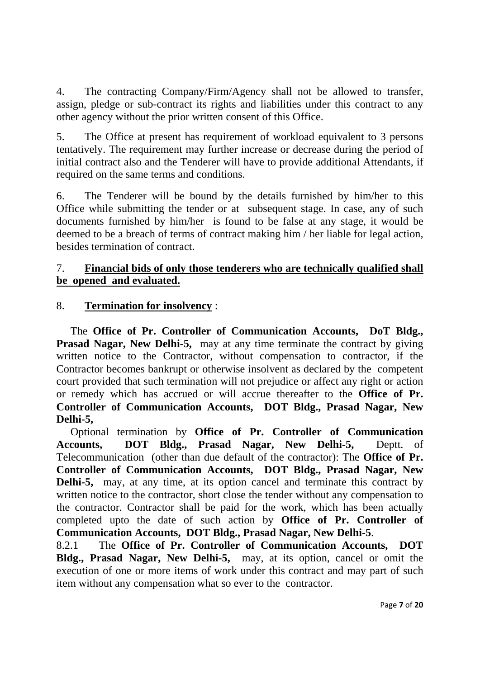4. The contracting Company/Firm/Agency shall not be allowed to transfer, assign, pledge or sub-contract its rights and liabilities under this contract to any other agency without the prior written consent of this Office.

5. The Office at present has requirement of workload equivalent to 3 persons tentatively. The requirement may further increase or decrease during the period of initial contract also and the Tenderer will have to provide additional Attendants, if required on the same terms and conditions.

6. The Tenderer will be bound by the details furnished by him/her to this Office while submitting the tender or at subsequent stage. In case, any of such documents furnished by him/her is found to be false at any stage, it would be deemed to be a breach of terms of contract making him / her liable for legal action, besides termination of contract.

# 7. **Financial bids of only those tenderers who are technically qualified shall be opened and evaluated.**

# 8. **Termination for insolvency** :

The **Office of Pr. Controller of Communication Accounts, DoT Bldg., Prasad Nagar, New Delhi-5,** may at any time terminate the contract by giving written notice to the Contractor, without compensation to contractor, if the Contractor becomes bankrupt or otherwise insolvent as declared by the competent court provided that such termination will not prejudice or affect any right or action or remedy which has accrued or will accrue thereafter to the **Office of Pr. Controller of Communication Accounts, DOT Bldg., Prasad Nagar, New Delhi-5,** 

Optional termination by **Office of Pr. Controller of Communication Accounts, DOT Bldg., Prasad Nagar, New Delhi-5,** Deptt. of Telecommunication (other than due default of the contractor): The **Office of Pr. Controller of Communication Accounts, DOT Bldg., Prasad Nagar, New Delhi-5,** may, at any time, at its option cancel and terminate this contract by written notice to the contractor, short close the tender without any compensation to the contractor. Contractor shall be paid for the work, which has been actually completed upto the date of such action by **Office of Pr. Controller of Communication Accounts, DOT Bldg., Prasad Nagar, New Delhi-5**.

8.2.1 The **Office of Pr. Controller of Communication Accounts, DOT Bldg., Prasad Nagar, New Delhi-5,** may, at its option, cancel or omit the execution of one or more items of work under this contract and may part of such item without any compensation what so ever to the contractor.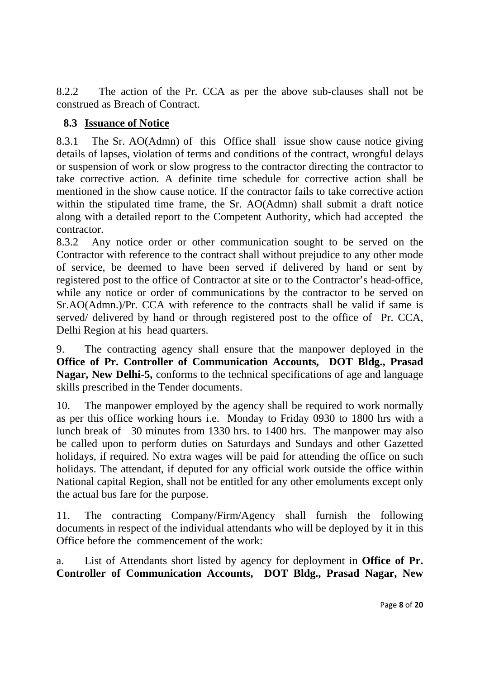8.2.2 The action of the Pr. CCA as per the above sub-clauses shall not be construed as Breach of Contract.

# **8.3 Issuance of Notice**

8.3.1 The Sr. AO(Admn) of this Office shall issue show cause notice giving details of lapses, violation of terms and conditions of the contract, wrongful delays or suspension of work or slow progress to the contractor directing the contractor to take corrective action. A definite time schedule for corrective action shall be mentioned in the show cause notice. If the contractor fails to take corrective action within the stipulated time frame, the Sr. AO(Admn) shall submit a draft notice along with a detailed report to the Competent Authority, which had accepted the contractor.

8.3.2 Any notice order or other communication sought to be served on the Contractor with reference to the contract shall without prejudice to any other mode of service, be deemed to have been served if delivered by hand or sent by registered post to the office of Contractor at site or to the Contractor's head-office, while any notice or order of communications by the contractor to be served on Sr.AO(Admn.)/Pr. CCA with reference to the contracts shall be valid if same is served/ delivered by hand or through registered post to the office of Pr. CCA, Delhi Region at his head quarters.

9. The contracting agency shall ensure that the manpower deployed in the **Office of Pr. Controller of Communication Accounts, DOT Bldg., Prasad Nagar, New Delhi-5,** conforms to the technical specifications of age and language skills prescribed in the Tender documents.

10. The manpower employed by the agency shall be required to work normally as per this office working hours i.e. Monday to Friday 0930 to 1800 hrs with a lunch break of 30 minutes from 1330 hrs. to 1400 hrs. The manpower may also be called upon to perform duties on Saturdays and Sundays and other Gazetted holidays, if required. No extra wages will be paid for attending the office on such holidays. The attendant, if deputed for any official work outside the office within National capital Region, shall not be entitled for any other emoluments except only the actual bus fare for the purpose.

11. The contracting Company/Firm/Agency shall furnish the following documents in respect of the individual attendants who will be deployed by it in this Office before the commencement of the work:

a. List of Attendants short listed by agency for deployment in **Office of Pr. Controller of Communication Accounts, DOT Bldg., Prasad Nagar, New**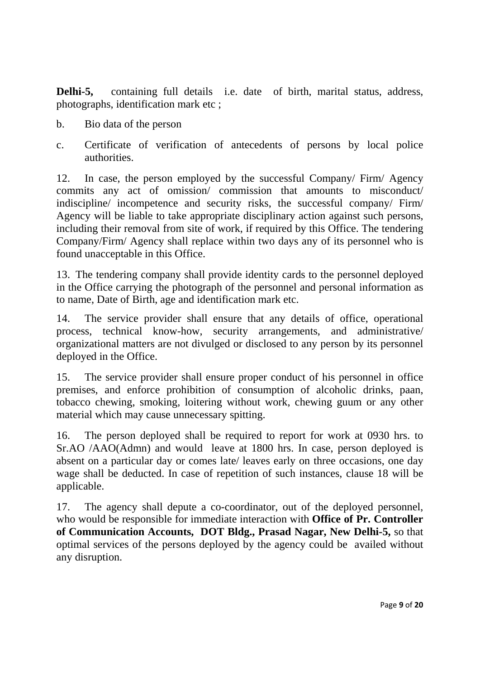**Delhi-5,** containing full details i.e. date of birth, marital status, address, photographs, identification mark etc ;

- b. Bio data of the person
- c. Certificate of verification of antecedents of persons by local police authorities.

12. In case, the person employed by the successful Company/ Firm/ Agency commits any act of omission/ commission that amounts to misconduct/ indiscipline/ incompetence and security risks, the successful company/ Firm/ Agency will be liable to take appropriate disciplinary action against such persons, including their removal from site of work, if required by this Office. The tendering Company/Firm/ Agency shall replace within two days any of its personnel who is found unacceptable in this Office.

13. The tendering company shall provide identity cards to the personnel deployed in the Office carrying the photograph of the personnel and personal information as to name, Date of Birth, age and identification mark etc.

14. The service provider shall ensure that any details of office, operational process, technical know-how, security arrangements, and administrative/ organizational matters are not divulged or disclosed to any person by its personnel deployed in the Office.

15. The service provider shall ensure proper conduct of his personnel in office premises, and enforce prohibition of consumption of alcoholic drinks, paan, tobacco chewing, smoking, loitering without work, chewing guum or any other material which may cause unnecessary spitting.

16. The person deployed shall be required to report for work at 0930 hrs. to Sr.AO /AAO(Admn) and would leave at 1800 hrs. In case, person deployed is absent on a particular day or comes late/ leaves early on three occasions, one day wage shall be deducted. In case of repetition of such instances, clause 18 will be applicable.

17. The agency shall depute a co-coordinator, out of the deployed personnel, who would be responsible for immediate interaction with **Office of Pr. Controller of Communication Accounts, DOT Bldg., Prasad Nagar, New Delhi-5,** so that optimal services of the persons deployed by the agency could be availed without any disruption.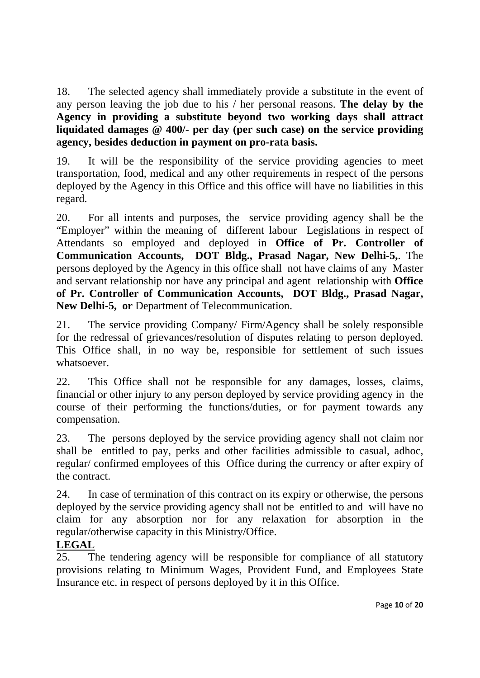18. The selected agency shall immediately provide a substitute in the event of any person leaving the job due to his / her personal reasons. **The delay by the Agency in providing a substitute beyond two working days shall attract liquidated damages @ 400/- per day (per such case) on the service providing agency, besides deduction in payment on pro-rata basis.** 

19. It will be the responsibility of the service providing agencies to meet transportation, food, medical and any other requirements in respect of the persons deployed by the Agency in this Office and this office will have no liabilities in this regard.

20. For all intents and purposes, the service providing agency shall be the "Employer" within the meaning of different labour Legislations in respect of Attendants so employed and deployed in **Office of Pr. Controller of Communication Accounts, DOT Bldg., Prasad Nagar, New Delhi-5,**. The persons deployed by the Agency in this office shall not have claims of any Master and servant relationship nor have any principal and agent relationship with **Office of Pr. Controller of Communication Accounts, DOT Bldg., Prasad Nagar, New Delhi-5, or** Department of Telecommunication.

21. The service providing Company/ Firm/Agency shall be solely responsible for the redressal of grievances/resolution of disputes relating to person deployed. This Office shall, in no way be, responsible for settlement of such issues whatsoever.

22. This Office shall not be responsible for any damages, losses, claims, financial or other injury to any person deployed by service providing agency in the course of their performing the functions/duties, or for payment towards any compensation.

23. The persons deployed by the service providing agency shall not claim nor shall be entitled to pay, perks and other facilities admissible to casual, adhoc, regular/ confirmed employees of this Office during the currency or after expiry of the contract.

24. In case of termination of this contract on its expiry or otherwise, the persons deployed by the service providing agency shall not be entitled to and will have no claim for any absorption nor for any relaxation for absorption in the regular/otherwise capacity in this Ministry/Office.

# **LEGAL**

25. The tendering agency will be responsible for compliance of all statutory provisions relating to Minimum Wages, Provident Fund, and Employees State Insurance etc. in respect of persons deployed by it in this Office.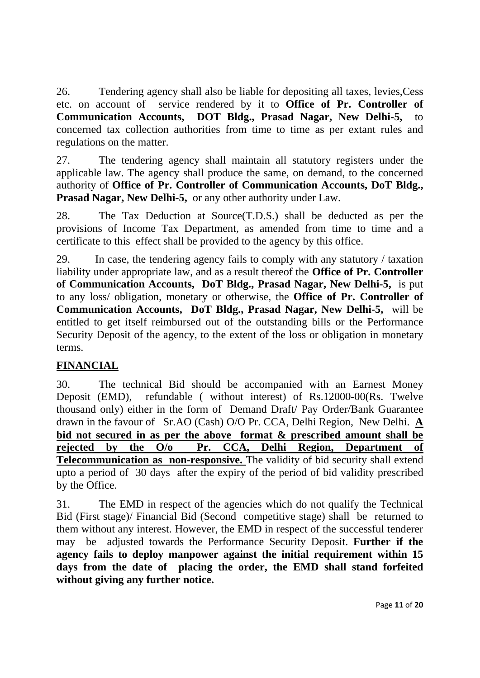26. Tendering agency shall also be liable for depositing all taxes, levies,Cess etc. on account of service rendered by it to **Office of Pr. Controller of Communication Accounts, DOT Bldg., Prasad Nagar, New Delhi-5,** to concerned tax collection authorities from time to time as per extant rules and regulations on the matter.

27. The tendering agency shall maintain all statutory registers under the applicable law. The agency shall produce the same, on demand, to the concerned authority of **Office of Pr. Controller of Communication Accounts, DoT Bldg., Prasad Nagar, New Delhi-5,** or any other authority under Law.

28. The Tax Deduction at Source(T.D.S.) shall be deducted as per the provisions of Income Tax Department, as amended from time to time and a certificate to this effect shall be provided to the agency by this office.

29. In case, the tendering agency fails to comply with any statutory / taxation liability under appropriate law, and as a result thereof the **Office of Pr. Controller of Communication Accounts, DoT Bldg., Prasad Nagar, New Delhi-5,** is put to any loss/ obligation, monetary or otherwise, the **Office of Pr. Controller of Communication Accounts, DoT Bldg., Prasad Nagar, New Delhi-5,** will be entitled to get itself reimbursed out of the outstanding bills or the Performance Security Deposit of the agency, to the extent of the loss or obligation in monetary terms.

# **FINANCIAL**

30. The technical Bid should be accompanied with an Earnest Money Deposit (EMD), refundable ( without interest) of Rs.12000-00(Rs. Twelve thousand only) either in the form of Demand Draft/ Pay Order/Bank Guarantee drawn in the favour of Sr.AO (Cash) O/O Pr. CCA, Delhi Region, New Delhi. **A bid not secured in as per the above format & prescribed amount shall be rejected by the O/o Pr. CCA, Delhi Region, Department of Telecommunication as non-responsive.** The validity of bid security shall extend upto a period of 30 days after the expiry of the period of bid validity prescribed by the Office.

31. The EMD in respect of the agencies which do not qualify the Technical Bid (First stage)/ Financial Bid (Second competitive stage) shall be returned to them without any interest. However, the EMD in respect of the successful tenderer may be adjusted towards the Performance Security Deposit. **Further if the agency fails to deploy manpower against the initial requirement within 15 days from the date of placing the order, the EMD shall stand forfeited without giving any further notice.**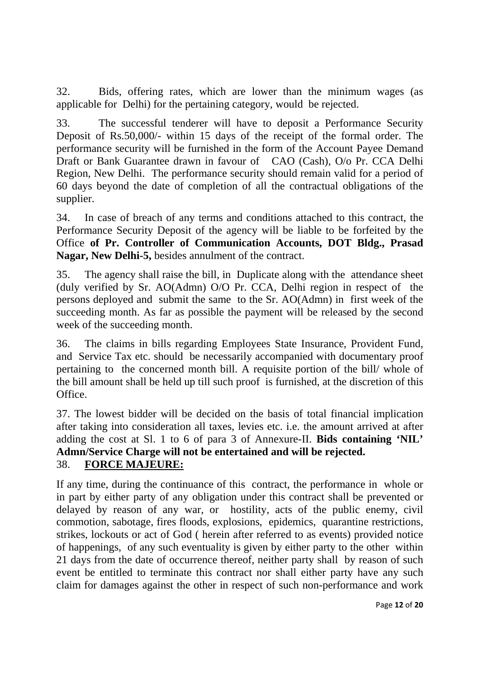32. Bids, offering rates, which are lower than the minimum wages (as applicable for Delhi) for the pertaining category, would be rejected.

33. The successful tenderer will have to deposit a Performance Security Deposit of Rs.50,000/- within 15 days of the receipt of the formal order. The performance security will be furnished in the form of the Account Payee Demand Draft or Bank Guarantee drawn in favour of CAO (Cash), O/o Pr. CCA Delhi Region, New Delhi. The performance security should remain valid for a period of 60 days beyond the date of completion of all the contractual obligations of the supplier.

34. In case of breach of any terms and conditions attached to this contract, the Performance Security Deposit of the agency will be liable to be forfeited by the Office **of Pr. Controller of Communication Accounts, DOT Bldg., Prasad Nagar, New Delhi-5,** besides annulment of the contract.

35. The agency shall raise the bill, in Duplicate along with the attendance sheet (duly verified by Sr. AO(Admn) O/O Pr. CCA, Delhi region in respect of the persons deployed and submit the same to the Sr. AO(Admn) in first week of the succeeding month. As far as possible the payment will be released by the second week of the succeeding month.

36. The claims in bills regarding Employees State Insurance, Provident Fund, and Service Tax etc. should be necessarily accompanied with documentary proof pertaining to the concerned month bill. A requisite portion of the bill/ whole of the bill amount shall be held up till such proof is furnished, at the discretion of this Office.

37. The lowest bidder will be decided on the basis of total financial implication after taking into consideration all taxes, levies etc. i.e. the amount arrived at after adding the cost at Sl. 1 to 6 of para 3 of Annexure-II. **Bids containing 'NIL' Admn/Service Charge will not be entertained and will be rejected.**  38. **FORCE MAJEURE:**

If any time, during the continuance of this contract, the performance in whole or in part by either party of any obligation under this contract shall be prevented or delayed by reason of any war, or hostility, acts of the public enemy, civil commotion, sabotage, fires floods, explosions, epidemics, quarantine restrictions, strikes, lockouts or act of God ( herein after referred to as events) provided notice of happenings, of any such eventuality is given by either party to the other within 21 days from the date of occurrence thereof, neither party shall by reason of such event be entitled to terminate this contract nor shall either party have any such claim for damages against the other in respect of such non-performance and work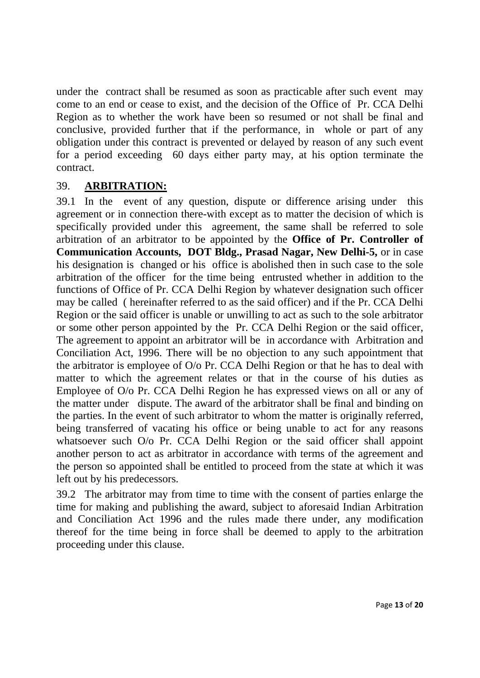under the contract shall be resumed as soon as practicable after such event may come to an end or cease to exist, and the decision of the Office of Pr. CCA Delhi Region as to whether the work have been so resumed or not shall be final and conclusive, provided further that if the performance, in whole or part of any obligation under this contract is prevented or delayed by reason of any such event for a period exceeding 60 days either party may, at his option terminate the contract.

# 39. **ARBITRATION:**

39.1 In the event of any question, dispute or difference arising under this agreement or in connection there-with except as to matter the decision of which is specifically provided under this agreement, the same shall be referred to sole arbitration of an arbitrator to be appointed by the **Office of Pr. Controller of Communication Accounts, DOT Bldg., Prasad Nagar, New Delhi-5,** or in case his designation is changed or his office is abolished then in such case to the sole arbitration of the officer for the time being entrusted whether in addition to the functions of Office of Pr. CCA Delhi Region by whatever designation such officer may be called ( hereinafter referred to as the said officer) and if the Pr. CCA Delhi Region or the said officer is unable or unwilling to act as such to the sole arbitrator or some other person appointed by the Pr. CCA Delhi Region or the said officer, The agreement to appoint an arbitrator will be in accordance with Arbitration and Conciliation Act, 1996. There will be no objection to any such appointment that the arbitrator is employee of O/o Pr. CCA Delhi Region or that he has to deal with matter to which the agreement relates or that in the course of his duties as Employee of O/o Pr. CCA Delhi Region he has expressed views on all or any of the matter under dispute. The award of the arbitrator shall be final and binding on the parties. In the event of such arbitrator to whom the matter is originally referred, being transferred of vacating his office or being unable to act for any reasons whatsoever such O/o Pr. CCA Delhi Region or the said officer shall appoint another person to act as arbitrator in accordance with terms of the agreement and the person so appointed shall be entitled to proceed from the state at which it was left out by his predecessors.

39.2 The arbitrator may from time to time with the consent of parties enlarge the time for making and publishing the award, subject to aforesaid Indian Arbitration and Conciliation Act 1996 and the rules made there under, any modification thereof for the time being in force shall be deemed to apply to the arbitration proceeding under this clause.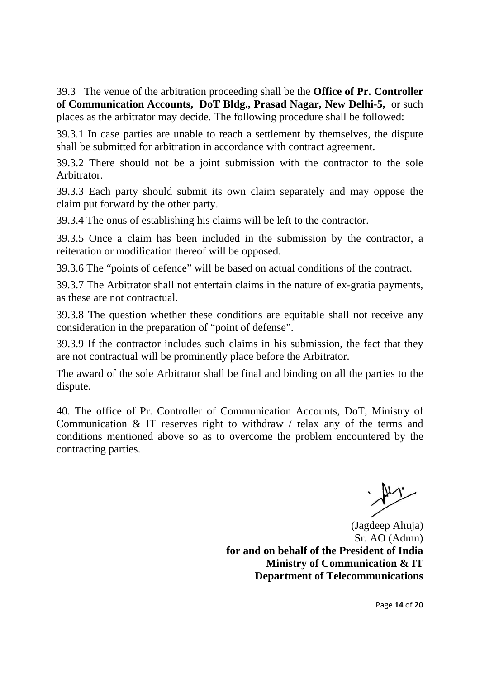39.3 The venue of the arbitration proceeding shall be the **Office of Pr. Controller of Communication Accounts, DoT Bldg., Prasad Nagar, New Delhi-5,** or such places as the arbitrator may decide. The following procedure shall be followed:

39.3.1 In case parties are unable to reach a settlement by themselves, the dispute shall be submitted for arbitration in accordance with contract agreement.

39.3.2 There should not be a joint submission with the contractor to the sole Arbitrator.

39.3.3 Each party should submit its own claim separately and may oppose the claim put forward by the other party.

39.3.4 The onus of establishing his claims will be left to the contractor.

39.3.5 Once a claim has been included in the submission by the contractor, a reiteration or modification thereof will be opposed.

39.3.6 The "points of defence" will be based on actual conditions of the contract.

39.3.7 The Arbitrator shall not entertain claims in the nature of ex-gratia payments, as these are not contractual.

39.3.8 The question whether these conditions are equitable shall not receive any consideration in the preparation of "point of defense".

39.3.9 If the contractor includes such claims in his submission, the fact that they are not contractual will be prominently place before the Arbitrator.

The award of the sole Arbitrator shall be final and binding on all the parties to the dispute.

40. The office of Pr. Controller of Communication Accounts, DoT, Ministry of Communication & IT reserves right to withdraw / relax any of the terms and conditions mentioned above so as to overcome the problem encountered by the contracting parties.

(Jagdeep Ahuja) Sr. AO (Admn) **for and on behalf of the President of India Ministry of Communication & IT Department of Telecommunications**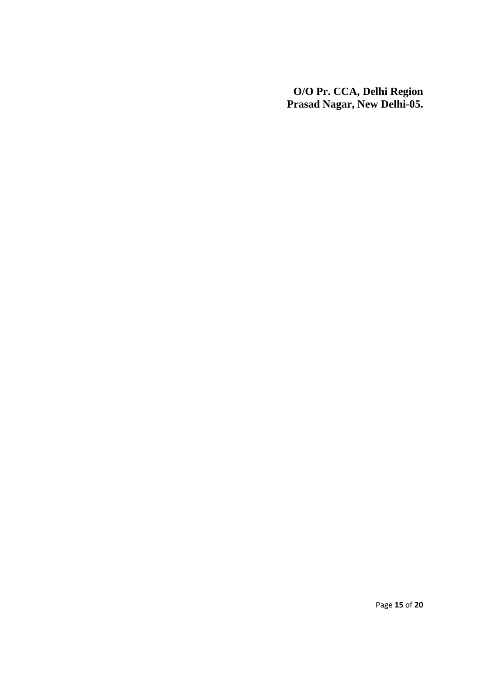**O/O Pr. CCA, Delhi Region Prasad Nagar, New Delhi-05.**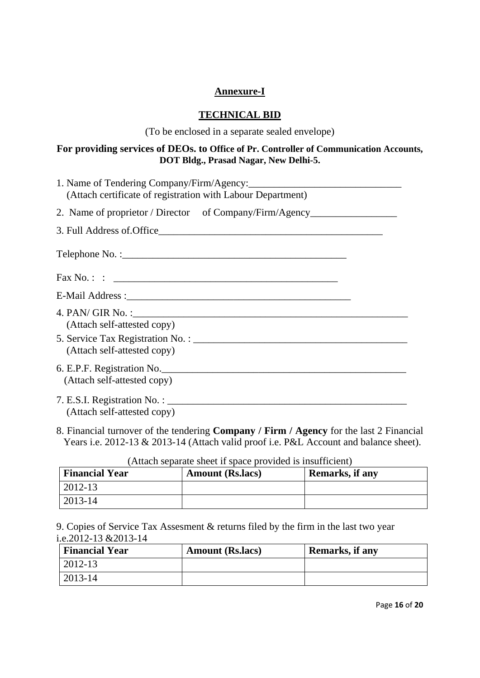### **Annexure-I**

### **TECHNICAL BID**

(To be enclosed in a separate sealed envelope)

### **For providing services of DEOs. to Office of Pr. Controller of Communication Accounts, DOT Bldg., Prasad Nagar, New Delhi-5.**

| (Attach certificate of registration with Labour Department)                      |
|----------------------------------------------------------------------------------|
| 2. Name of proprietor / Director of Company/Firm/Agency_________________________ |
|                                                                                  |
|                                                                                  |
|                                                                                  |
|                                                                                  |
| (Attach self-attested copy)                                                      |
| (Attach self-attested copy)                                                      |
| (Attach self-attested copy)                                                      |
| (Attach self-attested copy)                                                      |

8. Financial turnover of the tendering **Company / Firm / Agency** for the last 2 Financial Years i.e. 2012-13 & 2013-14 (Attach valid proof i.e. P&L Account and balance sheet).

| <b>Financial Year</b> | <b>Amount (Rs.lacs)</b> | Remarks, if any |
|-----------------------|-------------------------|-----------------|
| $ 2012-13$            |                         |                 |
| $2013 - 14$           |                         |                 |

(Attach separate sheet if space provided is insufficient)

9. Copies of Service Tax Assesment & returns filed by the firm in the last two year i.e.2012-13 &2013-14

| <b>Financial Year</b> | <b>Amount (Rs. lacs)</b> | Remarks, if any |
|-----------------------|--------------------------|-----------------|
| 2012-13               |                          |                 |
| 2013-14               |                          |                 |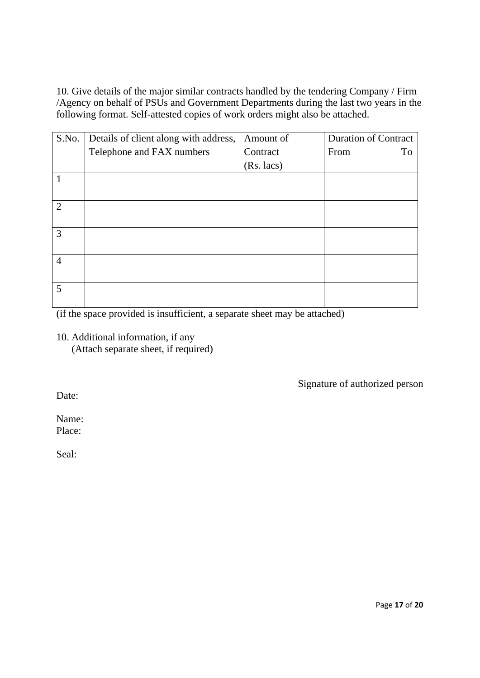10. Give details of the major similar contracts handled by the tendering Company / Firm /Agency on behalf of PSUs and Government Departments during the last two years in the following format. Self-attested copies of work orders might also be attached.

| S.No.          | Details of client along with address, | Amount of  | <b>Duration of Contract</b> |
|----------------|---------------------------------------|------------|-----------------------------|
|                | Telephone and FAX numbers             | Contract   | From<br>To                  |
|                |                                       | (Rs. lacs) |                             |
|                |                                       |            |                             |
|                |                                       |            |                             |
| $\overline{2}$ |                                       |            |                             |
|                |                                       |            |                             |
| 3              |                                       |            |                             |
|                |                                       |            |                             |
| $\overline{4}$ |                                       |            |                             |
|                |                                       |            |                             |
| 5              |                                       |            |                             |
|                |                                       |            |                             |

(if the space provided is insufficient, a separate sheet may be attached)

10. Additional information, if any

(Attach separate sheet, if required)

Signature of authorized person

Date:

Name: Place:

Seal: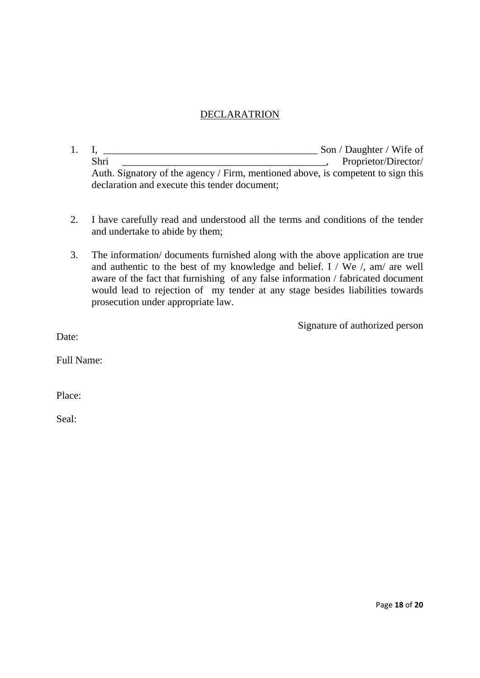### DECLARATRION

- 1. I, \_\_\_\_\_\_\_\_\_\_\_\_\_\_\_\_\_\_\_\_\_\_\_\_\_\_\_\_\_\_\_\_\_\_\_\_\_\_\_\_\_\_ Son / Daughter / Wife of Shri \_\_\_\_\_\_\_\_\_\_\_\_\_\_\_\_\_\_\_\_\_\_\_\_\_\_\_\_\_\_\_\_\_\_\_\_\_\_\_\_, Proprietor/Director/ Auth. Signatory of the agency / Firm, mentioned above, is competent to sign this declaration and execute this tender document;
- 2. I have carefully read and understood all the terms and conditions of the tender and undertake to abide by them;
- 3. The information/ documents furnished along with the above application are true and authentic to the best of my knowledge and belief. I / We  $/$ , am/ are well aware of the fact that furnishing of any false information / fabricated document would lead to rejection of my tender at any stage besides liabilities towards prosecution under appropriate law.

Signature of authorized person

Date:

Full Name:

Place:

Seal: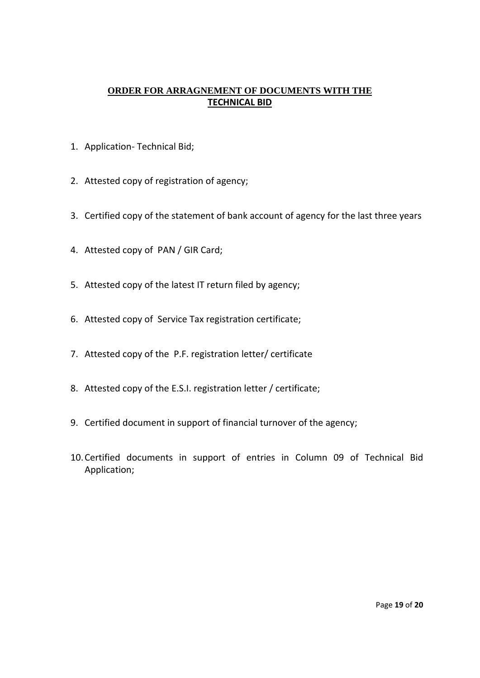### **ORDER FOR ARRAGNEMENT OF DOCUMENTS WITH THE TECHNICAL BID**

- 1. Application‐ Technical Bid;
- 2. Attested copy of registration of agency;
- 3. Certified copy of the statement of bank account of agency for the last three years
- 4. Attested copy of PAN / GIR Card;
- 5. Attested copy of the latest IT return filed by agency;
- 6. Attested copy of Service Tax registration certificate;
- 7. Attested copy of the P.F. registration letter/ certificate
- 8. Attested copy of the E.S.I. registration letter / certificate;
- 9. Certified document in support of financial turnover of the agency;
- 10.Certified documents in support of entries in Column 09 of Technical Bid Application;